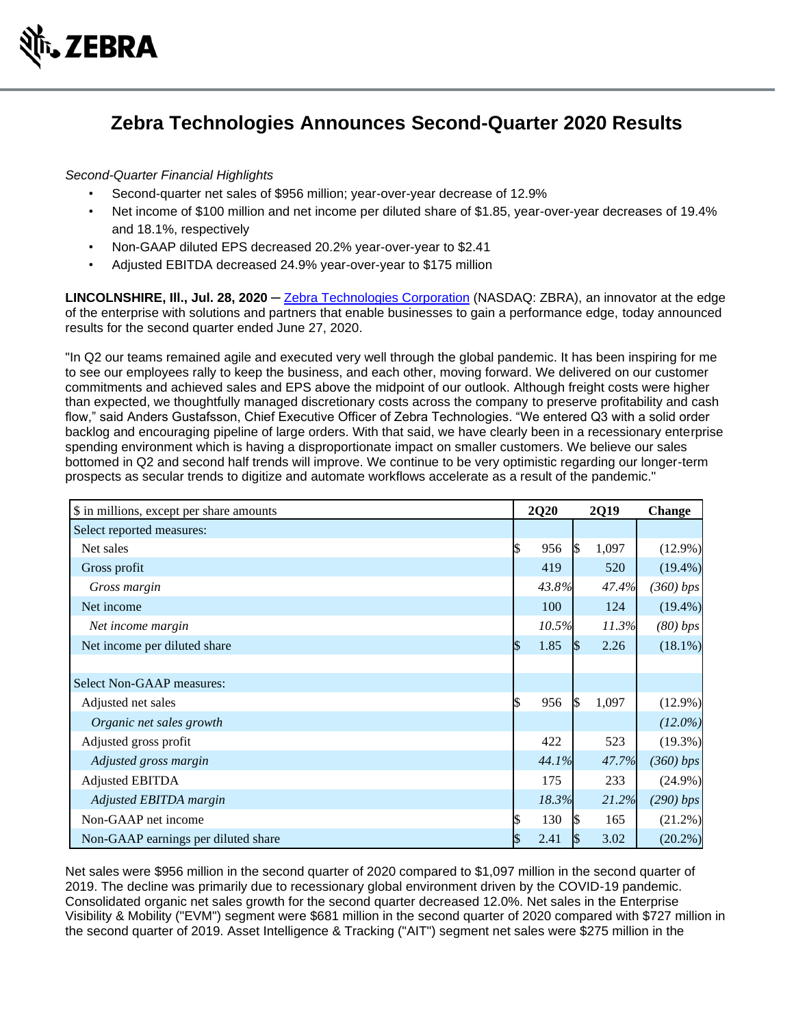

# **Zebra Technologies Announces Second-Quarter 2020 Results**

### *Second-Quarter Financial Highlights*

- Second-quarter net sales of \$956 million; year-over-year decrease of 12.9%
- Net income of \$100 million and net income per diluted share of \$1.85, year-over-year decreases of 19.4% and 18.1%, respectively
- Non-GAAP diluted EPS decreased 20.2% year-over-year to \$2.41
- Adjusted EBITDA decreased 24.9% year-over-year to \$175 million

**LINCOLNSHIRE, Ill., Jul. 28, 2020** ─ [Zebra Technologies Corporation](https://www.zebra.com/) (NASDAQ: ZBRA), an innovator at the edge of the enterprise with solutions and partners that enable businesses to gain a performance edge, today announced results for the second quarter ended June 27, 2020.

"In Q2 our teams remained agile and executed very well through the global pandemic. It has been inspiring for me to see our employees rally to keep the business, and each other, moving forward. We delivered on our customer commitments and achieved sales and EPS above the midpoint of our outlook. Although freight costs were higher than expected, we thoughtfully managed discretionary costs across the company to preserve profitability and cash flow," said Anders Gustafsson, Chief Executive Officer of Zebra Technologies. "We entered Q3 with a solid order backlog and encouraging pipeline of large orders. With that said, we have clearly been in a recessionary enterprise spending environment which is having a disproportionate impact on smaller customers. We believe our sales bottomed in Q2 and second half trends will improve. We continue to be very optimistic regarding our longer-term prospects as secular trends to digitize and automate workflows accelerate as a result of the pandemic."

| \$ in millions, except per share amounts | <b>2Q20</b> |    | 2Q19  | <b>Change</b> |
|------------------------------------------|-------------|----|-------|---------------|
| Select reported measures:                |             |    |       |               |
| Net sales                                | \$<br>956   | \$ | 1,097 | $(12.9\%)$    |
| Gross profit                             | 419         |    | 520   | $(19.4\%)$    |
| Gross margin                             | 43.8%       |    | 47.4% | (360) bps     |
| Net income                               | 100         |    | 124   | $(19.4\%)$    |
| Net income margin                        | 10.5%       |    | 11.3% | (80) bps      |
| Net income per diluted share             | \$<br>1.85  |    | 2.26  | $(18.1\%)$    |
|                                          |             |    |       |               |
| Select Non-GAAP measures:                |             |    |       |               |
| Adjusted net sales                       | \$<br>956   |    | 1,097 | $(12.9\%)$    |
| Organic net sales growth                 |             |    |       | $(12.0\%)$    |
| Adjusted gross profit                    | 422         |    | 523   | (19.3%)       |
| Adjusted gross margin                    | 44.1%       |    | 47.7% | (360) bps     |
| <b>Adjusted EBITDA</b>                   | 175         |    | 233   | $(24.9\%)$    |
| Adjusted EBITDA margin                   | 18.3%       |    | 21.2% | (290) bps     |
| Non-GAAP net income                      | 130         | S  | 165   | (21.2%)       |
| Non-GAAP earnings per diluted share      | 2.41        |    | 3.02  | $(20.2\%)$    |

Net sales were \$956 million in the second quarter of 2020 compared to \$1,097 million in the second quarter of 2019. The decline was primarily due to recessionary global environment driven by the COVID-19 pandemic. Consolidated organic net sales growth for the second quarter decreased 12.0%. Net sales in the Enterprise Visibility & Mobility ("EVM") segment were \$681 million in the second quarter of 2020 compared with \$727 million in the second quarter of 2019. Asset Intelligence & Tracking ("AIT") segment net sales were \$275 million in the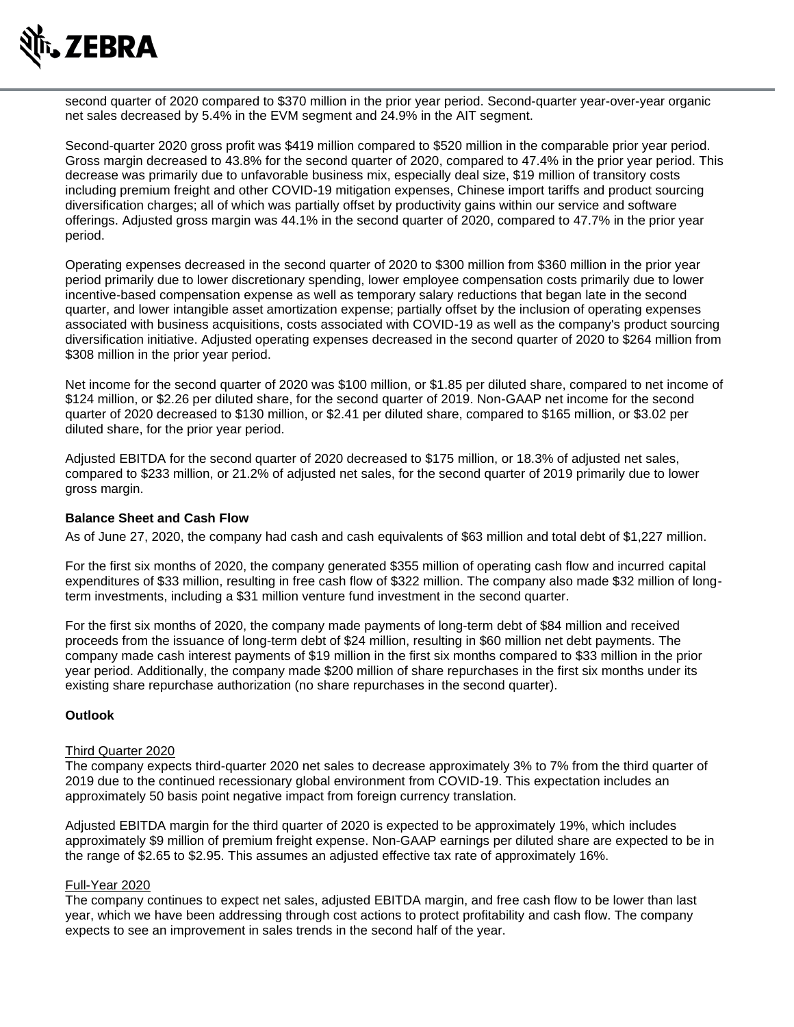

second quarter of 2020 compared to \$370 million in the prior year period. Second-quarter year-over-year organic net sales decreased by 5.4% in the EVM segment and 24.9% in the AIT segment.

Second-quarter 2020 gross profit was \$419 million compared to \$520 million in the comparable prior year period. Gross margin decreased to 43.8% for the second quarter of 2020, compared to 47.4% in the prior year period. This decrease was primarily due to unfavorable business mix, especially deal size, \$19 million of transitory costs including premium freight and other COVID-19 mitigation expenses, Chinese import tariffs and product sourcing diversification charges; all of which was partially offset by productivity gains within our service and software offerings. Adjusted gross margin was 44.1% in the second quarter of 2020, compared to 47.7% in the prior year period.

Operating expenses decreased in the second quarter of 2020 to \$300 million from \$360 million in the prior year period primarily due to lower discretionary spending, lower employee compensation costs primarily due to lower incentive-based compensation expense as well as temporary salary reductions that began late in the second quarter, and lower intangible asset amortization expense; partially offset by the inclusion of operating expenses associated with business acquisitions, costs associated with COVID-19 as well as the company's product sourcing diversification initiative. Adjusted operating expenses decreased in the second quarter of 2020 to \$264 million from \$308 million in the prior year period.

Net income for the second quarter of 2020 was \$100 million, or \$1.85 per diluted share, compared to net income of \$124 million, or \$2.26 per diluted share, for the second quarter of 2019. Non-GAAP net income for the second quarter of 2020 decreased to \$130 million, or \$2.41 per diluted share, compared to \$165 million, or \$3.02 per diluted share, for the prior year period.

Adjusted EBITDA for the second quarter of 2020 decreased to \$175 million, or 18.3% of adjusted net sales, compared to \$233 million, or 21.2% of adjusted net sales, for the second quarter of 2019 primarily due to lower gross margin.

### **Balance Sheet and Cash Flow**

As of June 27, 2020, the company had cash and cash equivalents of \$63 million and total debt of \$1,227 million.

For the first six months of 2020, the company generated \$355 million of operating cash flow and incurred capital expenditures of \$33 million, resulting in free cash flow of \$322 million. The company also made \$32 million of longterm investments, including a \$31 million venture fund investment in the second quarter.

For the first six months of 2020, the company made payments of long-term debt of \$84 million and received proceeds from the issuance of long-term debt of \$24 million, resulting in \$60 million net debt payments. The company made cash interest payments of \$19 million in the first six months compared to \$33 million in the prior year period. Additionally, the company made \$200 million of share repurchases in the first six months under its existing share repurchase authorization (no share repurchases in the second quarter).

### **Outlook**

### Third Quarter 2020

The company expects third-quarter 2020 net sales to decrease approximately 3% to 7% from the third quarter of 2019 due to the continued recessionary global environment from COVID-19. This expectation includes an approximately 50 basis point negative impact from foreign currency translation.

Adjusted EBITDA margin for the third quarter of 2020 is expected to be approximately 19%, which includes approximately \$9 million of premium freight expense. Non-GAAP earnings per diluted share are expected to be in the range of \$2.65 to \$2.95. This assumes an adjusted effective tax rate of approximately 16%.

### Full-Year 2020

The company continues to expect net sales, adjusted EBITDA margin, and free cash flow to be lower than last year, which we have been addressing through cost actions to protect profitability and cash flow. The company expects to see an improvement in sales trends in the second half of the year.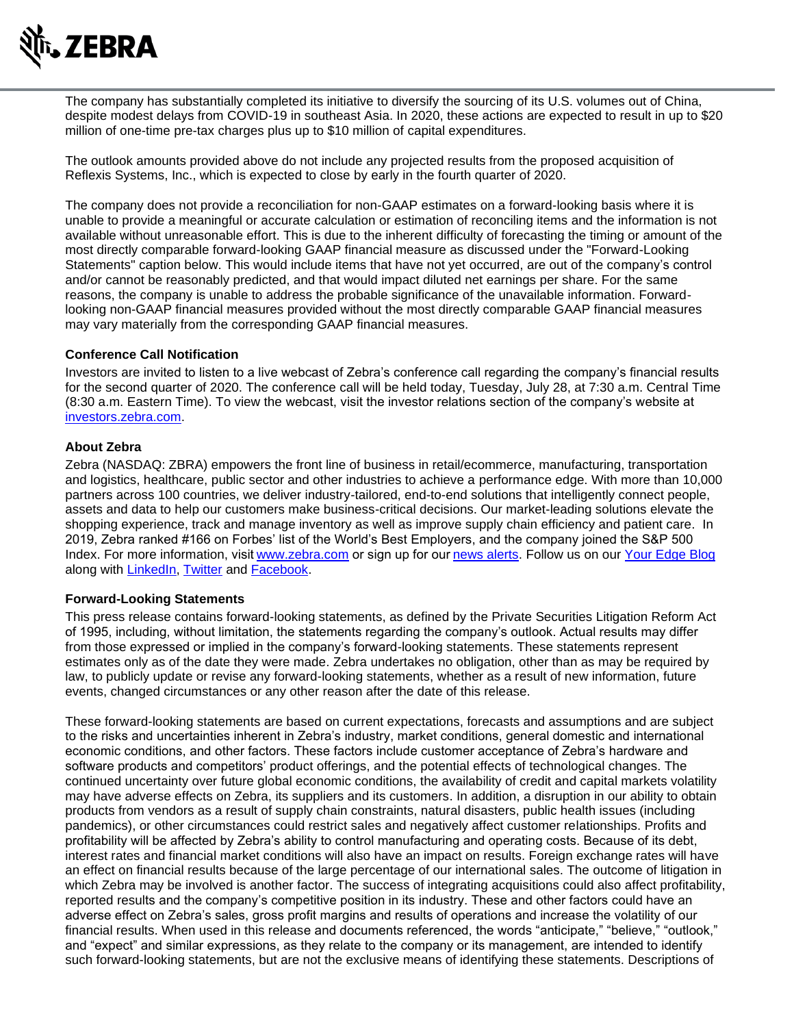

The company has substantially completed its initiative to diversify the sourcing of its U.S. volumes out of China, despite modest delays from COVID-19 in southeast Asia. In 2020, these actions are expected to result in up to \$20 million of one-time pre-tax charges plus up to \$10 million of capital expenditures.

The outlook amounts provided above do not include any projected results from the proposed acquisition of Reflexis Systems, Inc., which is expected to close by early in the fourth quarter of 2020.

The company does not provide a reconciliation for non-GAAP estimates on a forward-looking basis where it is unable to provide a meaningful or accurate calculation or estimation of reconciling items and the information is not available without unreasonable effort. This is due to the inherent difficulty of forecasting the timing or amount of the most directly comparable forward-looking GAAP financial measure as discussed under the "Forward-Looking Statements" caption below. This would include items that have not yet occurred, are out of the company's control and/or cannot be reasonably predicted, and that would impact diluted net earnings per share. For the same reasons, the company is unable to address the probable significance of the unavailable information. Forwardlooking non-GAAP financial measures provided without the most directly comparable GAAP financial measures may vary materially from the corresponding GAAP financial measures.

#### **Conference Call Notification**

Investors are invited to listen to a live webcast of Zebra's conference call regarding the company's financial results for the second quarter of 2020. The conference call will be held today, Tuesday, July 28, at 7:30 a.m. Central Time (8:30 a.m. Eastern Time). To view the webcast, visit the investor relations section of the company's website at [investors.zebra.com.](https://investors.zebra.com/)

### **About Zebra**

Zebra (NASDAQ: ZBRA) empowers the front line of business in retail/ecommerce, manufacturing, transportation and logistics, healthcare, public sector and other industries to achieve a performance edge. With more than 10,000 partners across 100 countries, we deliver industry-tailored, end-to-end solutions that intelligently connect people, assets and data to help our customers make business-critical decisions. Our market-leading solutions elevate the shopping experience, track and manage inventory as well as improve supply chain efficiency and patient care. In 2019, Zebra ranked #166 on Forbes' list of the World's Best Employers, and the company joined the S&P 500 Index. For more information, visit[www.zebra.com](http://www.zebra.com/) or sign up for ou[r news alerts.](https://investors.zebra.com/resources/email-alerts/default.aspx) Follow us on our [Your Edge Blog](http://www.zebra.com/blog) along with [LinkedIn,](https://www.linkedin.com/company/zebra-technologies) [Twitter](https://twitter.com/ZebraTechnology) and [Facebook.](https://www.facebook.com/ZebraTechnologiesGlobal)

#### **Forward-Looking Statements**

This press release contains forward-looking statements, as defined by the Private Securities Litigation Reform Act of 1995, including, without limitation, the statements regarding the company's outlook. Actual results may differ from those expressed or implied in the company's forward-looking statements. These statements represent estimates only as of the date they were made. Zebra undertakes no obligation, other than as may be required by law, to publicly update or revise any forward-looking statements, whether as a result of new information, future events, changed circumstances or any other reason after the date of this release.

These forward-looking statements are based on current expectations, forecasts and assumptions and are subject to the risks and uncertainties inherent in Zebra's industry, market conditions, general domestic and international economic conditions, and other factors. These factors include customer acceptance of Zebra's hardware and software products and competitors' product offerings, and the potential effects of technological changes. The continued uncertainty over future global economic conditions, the availability of credit and capital markets volatility may have adverse effects on Zebra, its suppliers and its customers. In addition, a disruption in our ability to obtain products from vendors as a result of supply chain constraints, natural disasters, public health issues (including pandemics), or other circumstances could restrict sales and negatively affect customer relationships. Profits and profitability will be affected by Zebra's ability to control manufacturing and operating costs. Because of its debt, interest rates and financial market conditions will also have an impact on results. Foreign exchange rates will have an effect on financial results because of the large percentage of our international sales. The outcome of litigation in which Zebra may be involved is another factor. The success of integrating acquisitions could also affect profitability, reported results and the company's competitive position in its industry. These and other factors could have an adverse effect on Zebra's sales, gross profit margins and results of operations and increase the volatility of our financial results. When used in this release and documents referenced, the words "anticipate," "believe," "outlook," and "expect" and similar expressions, as they relate to the company or its management, are intended to identify such forward-looking statements, but are not the exclusive means of identifying these statements. Descriptions of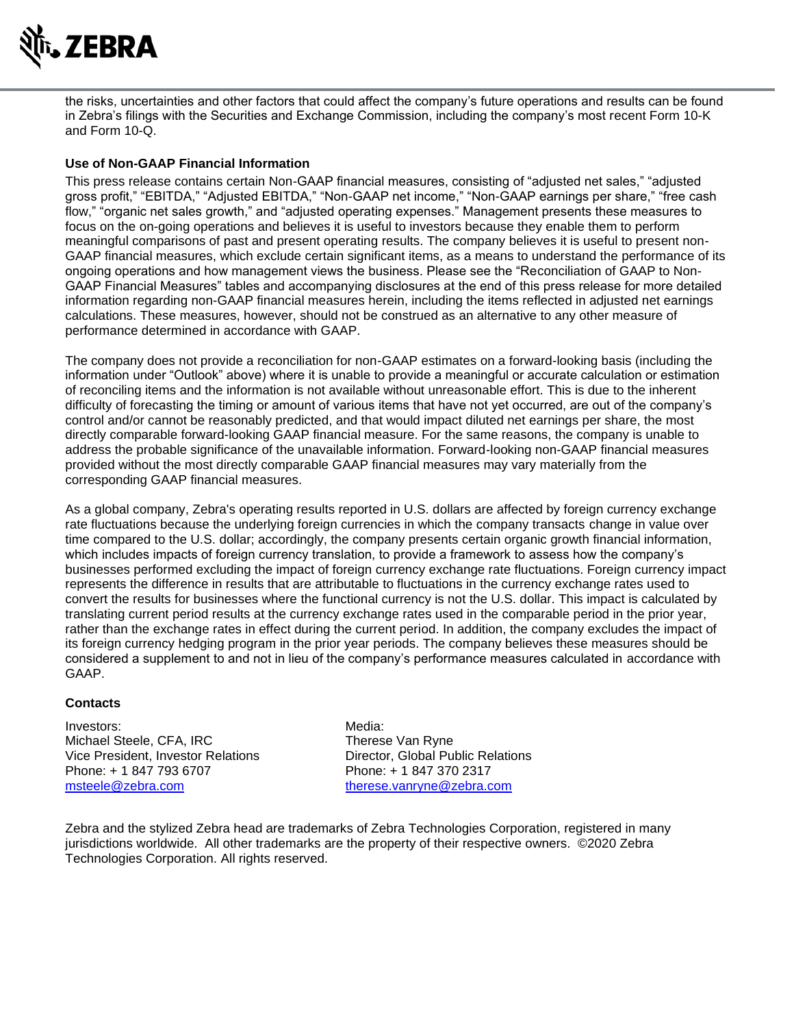

the risks, uncertainties and other factors that could affect the company's future operations and results can be found in Zebra's filings with the Securities and Exchange Commission, including the company's most recent Form 10-K and Form 10-Q.

### **Use of Non-GAAP Financial Information**

This press release contains certain Non-GAAP financial measures, consisting of "adjusted net sales," "adjusted gross profit," "EBITDA," "Adjusted EBITDA," "Non-GAAP net income," "Non-GAAP earnings per share," "free cash flow," "organic net sales growth," and "adjusted operating expenses." Management presents these measures to focus on the on-going operations and believes it is useful to investors because they enable them to perform meaningful comparisons of past and present operating results. The company believes it is useful to present non-GAAP financial measures, which exclude certain significant items, as a means to understand the performance of its ongoing operations and how management views the business. Please see the "Reconciliation of GAAP to Non-GAAP Financial Measures" tables and accompanying disclosures at the end of this press release for more detailed information regarding non-GAAP financial measures herein, including the items reflected in adjusted net earnings calculations. These measures, however, should not be construed as an alternative to any other measure of performance determined in accordance with GAAP.

The company does not provide a reconciliation for non-GAAP estimates on a forward-looking basis (including the information under "Outlook" above) where it is unable to provide a meaningful or accurate calculation or estimation of reconciling items and the information is not available without unreasonable effort. This is due to the inherent difficulty of forecasting the timing or amount of various items that have not yet occurred, are out of the company's control and/or cannot be reasonably predicted, and that would impact diluted net earnings per share, the most directly comparable forward-looking GAAP financial measure. For the same reasons, the company is unable to address the probable significance of the unavailable information. Forward-looking non-GAAP financial measures provided without the most directly comparable GAAP financial measures may vary materially from the corresponding GAAP financial measures.

As a global company, Zebra's operating results reported in U.S. dollars are affected by foreign currency exchange rate fluctuations because the underlying foreign currencies in which the company transacts change in value over time compared to the U.S. dollar; accordingly, the company presents certain organic growth financial information, which includes impacts of foreign currency translation, to provide a framework to assess how the company's businesses performed excluding the impact of foreign currency exchange rate fluctuations. Foreign currency impact represents the difference in results that are attributable to fluctuations in the currency exchange rates used to convert the results for businesses where the functional currency is not the U.S. dollar. This impact is calculated by translating current period results at the currency exchange rates used in the comparable period in the prior year, rather than the exchange rates in effect during the current period. In addition, the company excludes the impact of its foreign currency hedging program in the prior year periods. The company believes these measures should be considered a supplement to and not in lieu of the company's performance measures calculated in accordance with GAAP.

### **Contacts**

Investors: Media: Media: Media: Media: Media: Media: Media: Media: Media: Media: Media: Media: Media: Media:  $\sim$  Media:  $\sim$  Media:  $\sim$  Media:  $\sim$  Media:  $\sim$  Media:  $\sim$  Media:  $\sim$  Media:  $\sim$  Media:  $\sim$  Media:  $\sim$  Michael Steele, CFA, IRC Therese Van Ryne Vice President, Investor Relations Director, Global Public Relations Phone: + 1 847 793 6707 Phone: + 1 847 370 2317 [msteele@zebra.com](mailto:msteele@zebra.com) [therese.vanryne@zebra.com](mailto:therese.vanryne@zebra.com)

Zebra and the stylized Zebra head are trademarks of Zebra Technologies Corporation, registered in many jurisdictions worldwide. All other trademarks are the property of their respective owners. ©2020 Zebra Technologies Corporation. All rights reserved.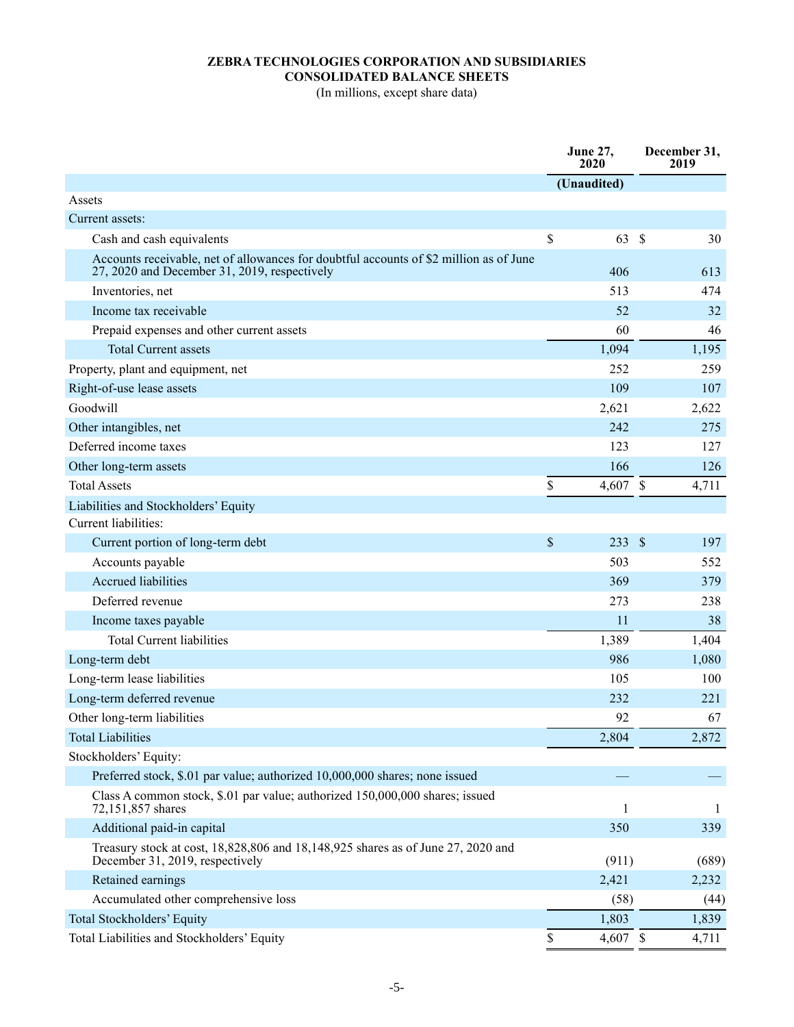# **ZEBRA TECHNOLOGIES CORPORATION AND SUBSIDIARIES CONSOLIDATED BALANCE SHEETS**

(In millions, except share data)

|                                                                                                                                        |             | <b>June 27,</b><br>2020 |               | December 31,<br>2019 |
|----------------------------------------------------------------------------------------------------------------------------------------|-------------|-------------------------|---------------|----------------------|
|                                                                                                                                        |             | (Unaudited)             |               |                      |
| Assets                                                                                                                                 |             |                         |               |                      |
| Current assets:                                                                                                                        |             |                         |               |                      |
| Cash and cash equivalents                                                                                                              | \$          | 63                      | $\mathcal{S}$ | 30                   |
| Accounts receivable, net of allowances for doubtful accounts of \$2 million as of June<br>27, 2020 and December 31, 2019, respectively |             | 406                     |               | 613                  |
| Inventories, net                                                                                                                       |             | 513                     |               | 474                  |
| Income tax receivable                                                                                                                  |             | 52                      |               | 32                   |
| Prepaid expenses and other current assets                                                                                              |             | 60                      |               | 46                   |
| <b>Total Current assets</b>                                                                                                            |             | 1,094                   |               | 1,195                |
| Property, plant and equipment, net                                                                                                     |             | 252                     |               | 259                  |
| Right-of-use lease assets                                                                                                              |             | 109                     |               | 107                  |
| Goodwill                                                                                                                               |             | 2,621                   |               | 2,622                |
| Other intangibles, net                                                                                                                 |             | 242                     |               | 275                  |
| Deferred income taxes                                                                                                                  |             | 123                     |               | 127                  |
| Other long-term assets                                                                                                                 |             | 166                     |               | 126                  |
| <b>Total Assets</b>                                                                                                                    | \$          | 4,607 \$                |               | 4,711                |
| Liabilities and Stockholders' Equity                                                                                                   |             |                         |               |                      |
| Current liabilities:                                                                                                                   |             |                         |               |                      |
| Current portion of long-term debt                                                                                                      | $\sqrt{\ }$ | 233                     | $\mathcal{S}$ | 197                  |
| Accounts payable                                                                                                                       |             | 503                     |               | 552                  |
| Accrued liabilities                                                                                                                    |             | 369                     |               | 379                  |
| Deferred revenue                                                                                                                       |             | 273                     |               | 238                  |
| Income taxes payable                                                                                                                   |             | 11                      |               | 38                   |
| <b>Total Current liabilities</b>                                                                                                       |             | 1,389                   |               | 1,404                |
| Long-term debt                                                                                                                         |             | 986                     |               | 1,080                |
| Long-term lease liabilities                                                                                                            |             | 105                     |               | 100                  |
| Long-term deferred revenue                                                                                                             |             | 232                     |               | 221                  |
| Other long-term liabilities                                                                                                            |             | 92                      |               | 67                   |
| <b>Total Liabilities</b>                                                                                                               |             | 2,804                   |               | 2,872                |
| Stockholders' Equity:                                                                                                                  |             |                         |               |                      |
| Preferred stock, \$.01 par value; authorized 10,000,000 shares; none issued                                                            |             |                         |               |                      |
| Class A common stock, \$.01 par value; authorized 150,000,000 shares; issued<br>72,151,857 shares                                      |             | $\mathbf{1}$            |               | 1                    |
| Additional paid-in capital                                                                                                             |             | 350                     |               | 339                  |
| Treasury stock at cost, 18,828,806 and 18,148,925 shares as of June 27, 2020 and<br>December 31, 2019, respectively                    |             | (911)                   |               | (689)                |
| Retained earnings                                                                                                                      |             | 2,421                   |               | 2,232                |
| Accumulated other comprehensive loss                                                                                                   |             | (58)                    |               | (44)                 |
| Total Stockholders' Equity                                                                                                             |             | 1,803                   |               | 1,839                |
| Total Liabilities and Stockholders' Equity                                                                                             | \$          | 4,607 \$                |               | 4,711                |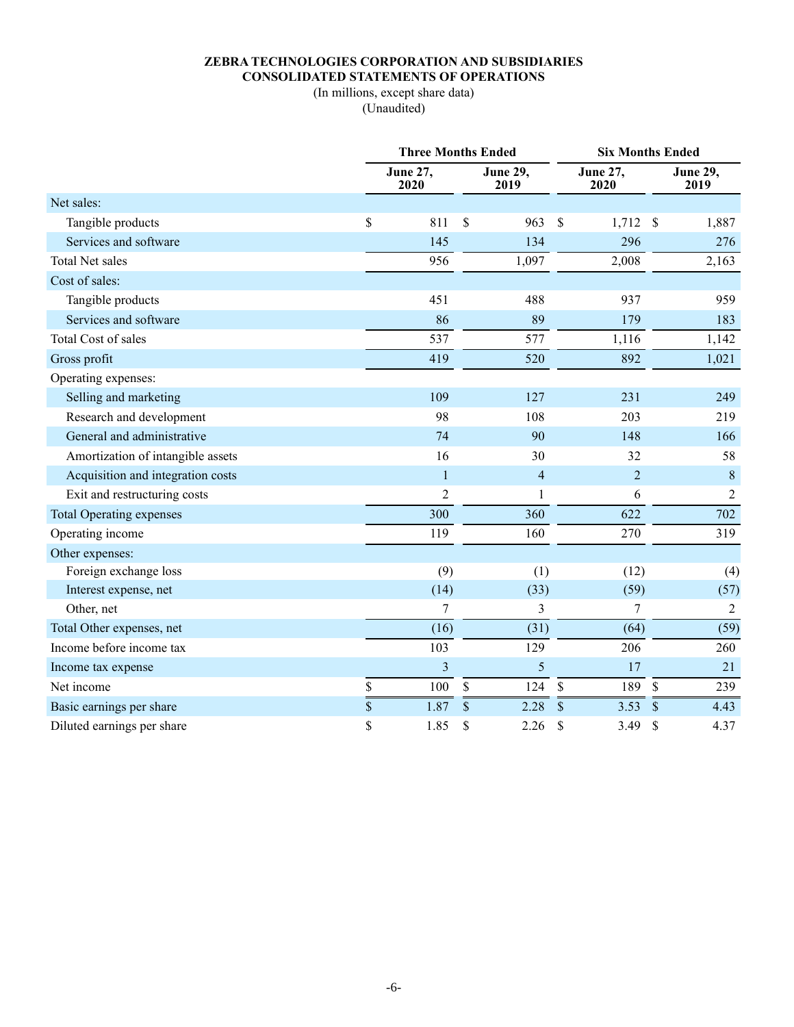# **ZEBRA TECHNOLOGIES CORPORATION AND SUBSIDIARIES CONSOLIDATED STATEMENTS OF OPERATIONS**

(In millions, except share data) (Unaudited)

|                                   | <b>Three Months Ended</b> |    |                         |                    | <b>Six Months Ended</b> |               |                         |  |
|-----------------------------------|---------------------------|----|-------------------------|--------------------|-------------------------|---------------|-------------------------|--|
|                                   | <b>June 27,</b><br>2020   |    | <b>June 29,</b><br>2019 |                    | <b>June 27,</b><br>2020 |               | <b>June 29,</b><br>2019 |  |
| Net sales:                        |                           |    |                         |                    |                         |               |                         |  |
| Tangible products                 | \$<br>811                 | \$ | 963                     | $\mathcal{S}$      | 1,712                   | \$            | 1,887                   |  |
| Services and software             | 145                       |    | 134                     |                    | 296                     |               | 276                     |  |
| <b>Total Net sales</b>            | 956                       |    | 1,097                   |                    | 2,008                   |               | 2,163                   |  |
| Cost of sales:                    |                           |    |                         |                    |                         |               |                         |  |
| Tangible products                 | 451                       |    | 488                     |                    | 937                     |               | 959                     |  |
| Services and software             | 86                        |    | 89                      |                    | 179                     |               | 183                     |  |
| Total Cost of sales               | 537                       |    | 577                     |                    | 1,116                   |               | 1,142                   |  |
| Gross profit                      | 419                       |    | 520                     |                    | 892                     |               | 1,021                   |  |
| Operating expenses:               |                           |    |                         |                    |                         |               |                         |  |
| Selling and marketing             | 109                       |    | 127                     |                    | 231                     |               | 249                     |  |
| Research and development          | 98                        |    | 108                     |                    | 203                     |               | 219                     |  |
| General and administrative        | 74                        |    | 90                      |                    | 148                     |               | 166                     |  |
| Amortization of intangible assets | 16                        |    | 30                      |                    | 32                      |               | 58                      |  |
| Acquisition and integration costs | $\mathbf{1}$              |    | $\overline{4}$          |                    | $\overline{2}$          |               | $8\phantom{.}$          |  |
| Exit and restructuring costs      | $\overline{2}$            |    | $\mathbf{1}$            |                    | 6                       |               | $\overline{2}$          |  |
| <b>Total Operating expenses</b>   | 300                       |    | 360                     |                    | 622                     |               | 702                     |  |
| Operating income                  | 119                       |    | 160                     |                    | 270                     |               | 319                     |  |
| Other expenses:                   |                           |    |                         |                    |                         |               |                         |  |
| Foreign exchange loss             | (9)                       |    | (1)                     |                    | (12)                    |               | (4)                     |  |
| Interest expense, net             | (14)                      |    | (33)                    |                    | (59)                    |               | (57)                    |  |
| Other, net                        | 7                         |    | 3                       |                    |                         |               | 2                       |  |
| Total Other expenses, net         | (16)                      |    | (31)                    |                    | (64)                    |               | (59)                    |  |
| Income before income tax          | 103                       |    | 129                     |                    | 206                     |               | 260                     |  |
| Income tax expense                | 3                         |    | 5                       |                    | 17                      |               | 21                      |  |
| Net income                        | \$<br>100                 | \$ | 124                     | \$                 | 189                     | \$            | 239                     |  |
| Basic earnings per share          | \$<br>1.87                | \$ | 2.28                    | $\mathbf{\hat{S}}$ | 3.53                    | $\mathcal{S}$ | 4.43                    |  |
| Diluted earnings per share        | \$<br>1.85                | \$ | 2.26                    | \$                 | 3.49                    | \$            | 4.37                    |  |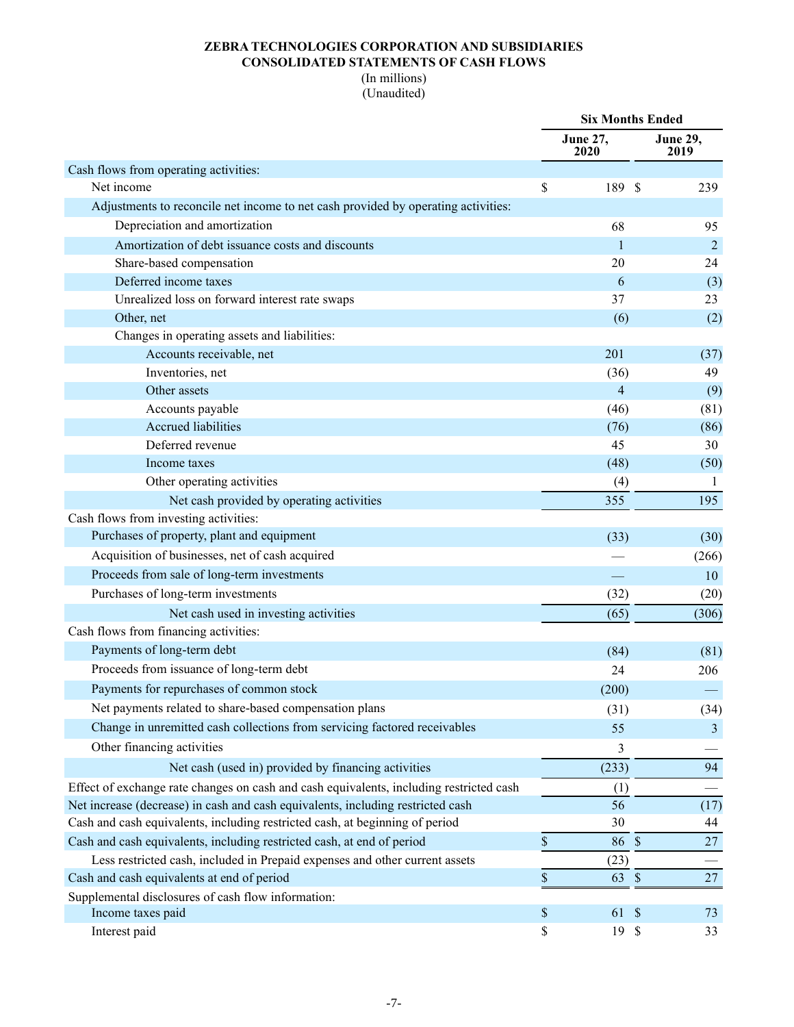## **ZEBRA TECHNOLOGIES CORPORATION AND SUBSIDIARIES CONSOLIDATED STATEMENTS OF CASH FLOWS**

# (In millions)

(Unaudited)

|                                                                                         | <b>Six Months Ended</b> |                          |               |                         |
|-----------------------------------------------------------------------------------------|-------------------------|--------------------------|---------------|-------------------------|
|                                                                                         |                         | <b>June 27,</b><br>2020  |               | <b>June 29,</b><br>2019 |
| Cash flows from operating activities:                                                   |                         |                          |               |                         |
| Net income                                                                              | \$                      | 189 \$                   |               | 239                     |
| Adjustments to reconcile net income to net cash provided by operating activities:       |                         |                          |               |                         |
| Depreciation and amortization                                                           |                         | 68                       |               | 95                      |
| Amortization of debt issuance costs and discounts                                       |                         | 1                        |               | $\overline{2}$          |
| Share-based compensation                                                                |                         | 20                       |               | 24                      |
| Deferred income taxes                                                                   |                         | 6                        |               | (3)                     |
| Unrealized loss on forward interest rate swaps                                          |                         | 37                       |               | 23                      |
| Other, net                                                                              |                         | (6)                      |               | (2)                     |
| Changes in operating assets and liabilities:                                            |                         |                          |               |                         |
| Accounts receivable, net                                                                |                         | 201                      |               | (37)                    |
| Inventories, net                                                                        |                         | (36)                     |               | 49                      |
| Other assets                                                                            |                         | $\overline{\mathcal{A}}$ |               | (9)                     |
| Accounts payable                                                                        |                         | (46)                     |               | (81)                    |
| Accrued liabilities                                                                     |                         | (76)                     |               | (86)                    |
| Deferred revenue                                                                        |                         | 45                       |               | 30                      |
| Income taxes                                                                            |                         | (48)                     |               | (50)                    |
| Other operating activities                                                              |                         | (4)                      |               | 1                       |
| Net cash provided by operating activities                                               |                         | 355                      |               | 195                     |
| Cash flows from investing activities:                                                   |                         |                          |               |                         |
| Purchases of property, plant and equipment                                              |                         | (33)                     |               | (30)                    |
| Acquisition of businesses, net of cash acquired                                         |                         |                          |               | (266)                   |
| Proceeds from sale of long-term investments                                             |                         |                          |               | 10                      |
| Purchases of long-term investments                                                      |                         | (32)                     |               | (20)                    |
| Net cash used in investing activities                                                   |                         | (65)                     |               | (306)                   |
| Cash flows from financing activities:                                                   |                         |                          |               |                         |
| Payments of long-term debt                                                              |                         | (84)                     |               | (81)                    |
| Proceeds from issuance of long-term debt                                                |                         | 24                       |               | 206                     |
| Payments for repurchases of common stock                                                |                         | (200)                    |               |                         |
| Net payments related to share-based compensation plans                                  |                         | (31)                     |               | (34)                    |
| Change in unremitted cash collections from servicing factored receivables               |                         | 55                       |               | $\mathfrak{Z}$          |
| Other financing activities                                                              |                         | 3                        |               |                         |
| Net cash (used in) provided by financing activities                                     |                         | (233)                    |               | 94                      |
| Effect of exchange rate changes on cash and cash equivalents, including restricted cash |                         | (1)                      |               |                         |
| Net increase (decrease) in cash and cash equivalents, including restricted cash         |                         | 56                       |               | (17)                    |
| Cash and cash equivalents, including restricted cash, at beginning of period            |                         | 30                       |               | 44                      |
| Cash and cash equivalents, including restricted cash, at end of period                  | \$                      | 86 \$                    |               | 27                      |
| Less restricted cash, included in Prepaid expenses and other current assets             |                         | (23)                     |               |                         |
| Cash and cash equivalents at end of period                                              | \$                      | 63                       | $\mathcal{S}$ | 27                      |
| Supplemental disclosures of cash flow information:                                      |                         |                          |               |                         |
| Income taxes paid                                                                       | \$                      | 61 \$                    |               | 73                      |
| Interest paid                                                                           | \$                      | 19                       | $\mathbb{S}$  | 33                      |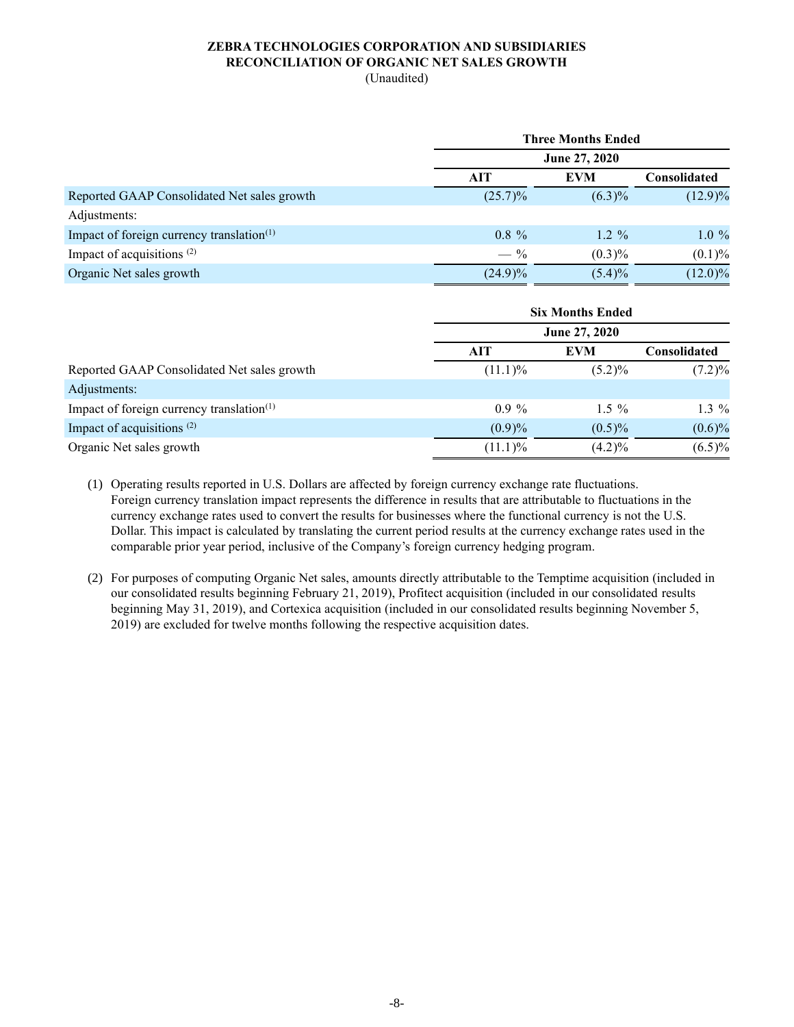### **ZEBRA TECHNOLOGIES CORPORATION AND SUBSIDIARIES RECONCILIATION OF ORGANIC NET SALES GROWTH** (Unaudited)

|                                              |            | <b>Three Months Ended</b> |                     |  |  |  |  |  |
|----------------------------------------------|------------|---------------------------|---------------------|--|--|--|--|--|
|                                              |            | June 27, 2020             |                     |  |  |  |  |  |
|                                              | AIT        | <b>EVM</b>                | <b>Consolidated</b> |  |  |  |  |  |
| Reported GAAP Consolidated Net sales growth  | $(25.7)\%$ | $(6.3)\%$                 | $(12.9)\%$          |  |  |  |  |  |
| Adjustments:                                 |            |                           |                     |  |  |  |  |  |
| Impact of foreign currency translation $(1)$ | $0.8 \%$   | $1.2 \%$                  | $1.0\%$             |  |  |  |  |  |
| Impact of acquisitions <sup>(2)</sup>        | $-$ %      | $(0.3)\%$                 | (0.1)%              |  |  |  |  |  |
| Organic Net sales growth                     | $(24.9)\%$ | $(5.4)\%$                 | $(12.0)\%$          |  |  |  |  |  |

|                                              |               | <b>Six Months Ended</b> |                     |  |  |  |  |  |
|----------------------------------------------|---------------|-------------------------|---------------------|--|--|--|--|--|
|                                              | June 27, 2020 |                         |                     |  |  |  |  |  |
|                                              | AIT           | <b>EVM</b>              | <b>Consolidated</b> |  |  |  |  |  |
| Reported GAAP Consolidated Net sales growth  | $(11.1)\%$    | $(5.2)\%$               | $(7.2)\%$           |  |  |  |  |  |
| Adjustments:                                 |               |                         |                     |  |  |  |  |  |
| Impact of foreign currency translation $(1)$ | $0.9\%$       | $1.5\%$                 | $1.3\%$             |  |  |  |  |  |
| Impact of acquisitions $(2)$                 | (0.9)%        | $(0.5)\%$               | $(0.6)\%$           |  |  |  |  |  |
| Organic Net sales growth                     | $(11.1)\%$    | $(4.2)\%$               | $(6.5)\%$           |  |  |  |  |  |

- (1) Operating results reported in U.S. Dollars are affected by foreign currency exchange rate fluctuations. Foreign currency translation impact represents the difference in results that are attributable to fluctuations in the currency exchange rates used to convert the results for businesses where the functional currency is not the U.S. Dollar. This impact is calculated by translating the current period results at the currency exchange rates used in the comparable prior year period, inclusive of the Company's foreign currency hedging program.
- (2) For purposes of computing Organic Net sales, amounts directly attributable to the Temptime acquisition (included in our consolidated results beginning February 21, 2019), Profitect acquisition (included in our consolidated results beginning May 31, 2019), and Cortexica acquisition (included in our consolidated results beginning November 5, 2019) are excluded for twelve months following the respective acquisition dates.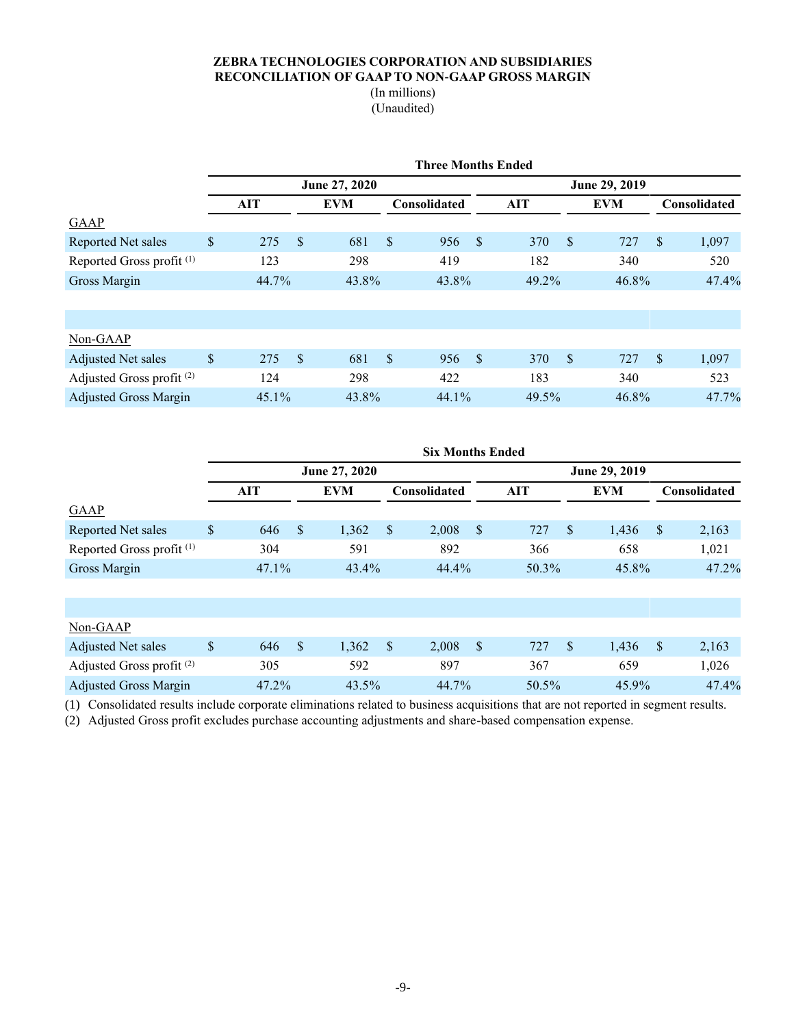### **ZEBRA TECHNOLOGIES CORPORATION AND SUBSIDIARIES RECONCILIATION OF GAAP TO NON-GAAP GROSS MARGIN**

### (In millions) (Unaudited)

|                                      |               | <b>Three Months Ended</b> |               |            |               |              |              |               |             |            |               |              |  |
|--------------------------------------|---------------|---------------------------|---------------|------------|---------------|--------------|--------------|---------------|-------------|------------|---------------|--------------|--|
|                                      | June 27, 2020 |                           |               |            |               |              |              | June 29, 2019 |             |            |               |              |  |
|                                      |               | <b>AIT</b>                |               | <b>EVM</b> |               | Consolidated |              | <b>AIT</b>    |             | <b>EVM</b> |               | Consolidated |  |
| GAAP                                 |               |                           |               |            |               |              |              |               |             |            |               |              |  |
| Reported Net sales                   | \$            | 275                       | $\mathcal{S}$ | 681        | $\mathcal{S}$ | 956          | -S           | 370           | $\sqrt{\ }$ | 727        | $\mathcal{S}$ | 1,097        |  |
| Reported Gross profit <sup>(1)</sup> |               | 123                       |               | 298        |               | 419          |              | 182           |             | 340        |               | 520          |  |
| Gross Margin                         |               | 44.7%                     |               | 43.8%      |               | 43.8%        |              | 49.2%         |             | 46.8%      |               | 47.4%        |  |
|                                      |               |                           |               |            |               |              |              |               |             |            |               |              |  |
|                                      |               |                           |               |            |               |              |              |               |             |            |               |              |  |
| Non-GAAP                             |               |                           |               |            |               |              |              |               |             |            |               |              |  |
| <b>Adjusted Net sales</b>            | \$            | 275                       | \$            | 681        | \$            | 956          | <sup>S</sup> | 370           | \$          | 727        | $\mathbf{\$}$ | 1,097        |  |
| Adjusted Gross profit <sup>(2)</sup> |               | 124                       |               | 298        |               | 422          |              | 183           |             | 340        |               | 523          |  |
| <b>Adjusted Gross Margin</b>         |               | 45.1%                     |               | 43.8%      |               | 44.1%        |              | 49.5%         |             | 46.8%      |               | 47.7%        |  |

|                                      |            |              |               |                           | <b>Six Months Ended</b> |               |       |               |               |              |                     |
|--------------------------------------|------------|--------------|---------------|---------------------------|-------------------------|---------------|-------|---------------|---------------|--------------|---------------------|
|                                      |            |              | June 27, 2020 |                           |                         |               |       |               | June 29, 2019 |              |                     |
|                                      | <b>AIT</b> |              | <b>EVM</b>    |                           | Consolidated            |               | AIT   |               | <b>EVM</b>    |              | <b>Consolidated</b> |
| <b>GAAP</b>                          |            |              |               |                           |                         |               |       |               |               |              |                     |
| Reported Net sales                   | \$<br>646  | $\mathbb{S}$ | 1,362         | $\boldsymbol{\mathsf{S}}$ | 2,008                   | <sup>\$</sup> | 727   | <sup>\$</sup> | 1,436         | $\mathbb{S}$ | 2,163               |
| Reported Gross profit <sup>(1)</sup> | 304        |              | 591           |                           | 892                     |               | 366   |               | 658           |              | 1,021               |
| Gross Margin                         | 47.1%      |              | 43.4%         |                           | 44.4%                   |               | 50.3% |               | 45.8%         |              | 47.2%               |
|                                      |            |              |               |                           |                         |               |       |               |               |              |                     |
|                                      |            |              |               |                           |                         |               |       |               |               |              |                     |
| Non-GAAP                             |            |              |               |                           |                         |               |       |               |               |              |                     |
| Adjusted Net sales                   | \$<br>646  | $\mathbb{S}$ | 1,362         | $\mathcal{S}$             | 2,008                   | $\mathbb{S}$  | 727   | $\mathbb{S}$  | 1,436         | $\mathbb{S}$ | 2,163               |
| Adjusted Gross profit <sup>(2)</sup> | 305        |              | 592           |                           | 897                     |               | 367   |               | 659           |              | 1,026               |
| <b>Adjusted Gross Margin</b>         | 47.2%      |              | $43.5\%$      |                           | 44.7%                   |               | 50.5% |               | 45.9%         |              | 47.4%               |

(1) Consolidated results include corporate eliminations related to business acquisitions that are not reported in segment results.

(2) Adjusted Gross profit excludes purchase accounting adjustments and share-based compensation expense.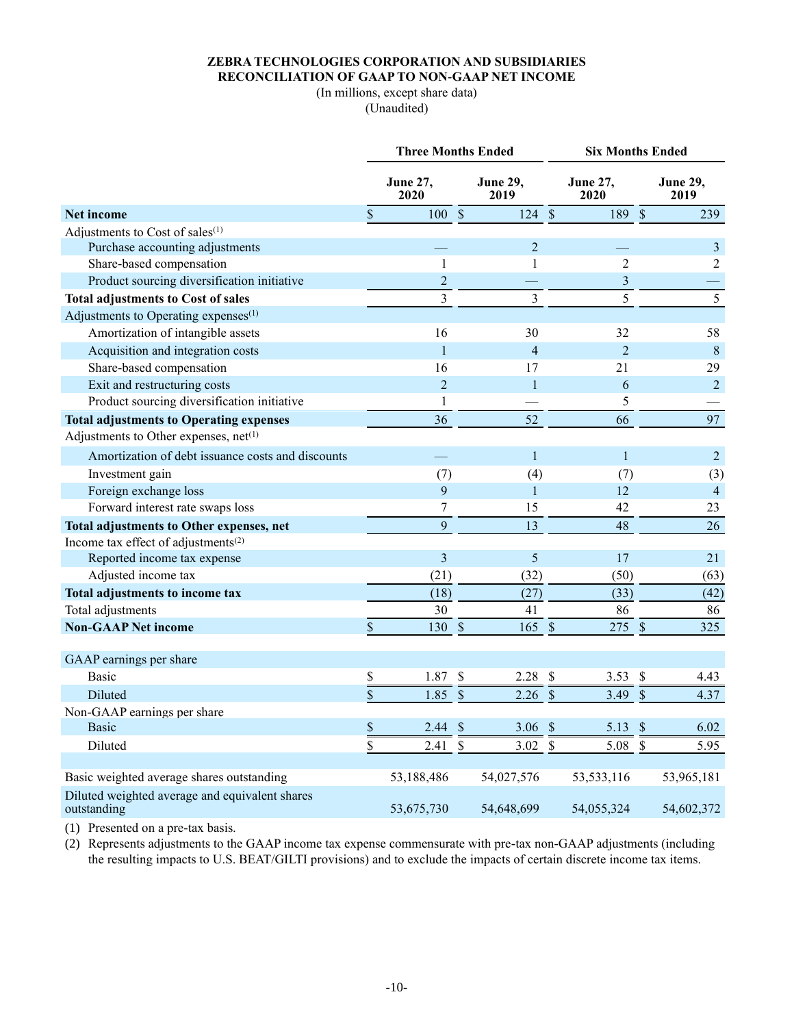### **ZEBRA TECHNOLOGIES CORPORATION AND SUBSIDIARIES RECONCILIATION OF GAAP TO NON-GAAP NET INCOME**

(In millions, except share data) (Unaudited)

|                                                               | <b>Three Months Ended</b> |                         |               |                         | <b>Six Months Ended</b>      |                         |                          |                         |
|---------------------------------------------------------------|---------------------------|-------------------------|---------------|-------------------------|------------------------------|-------------------------|--------------------------|-------------------------|
|                                                               |                           | <b>June 27,</b><br>2020 |               | <b>June 29,</b><br>2019 |                              | <b>June 27,</b><br>2020 |                          | <b>June 29,</b><br>2019 |
| Net income                                                    | \$                        | 100S                    |               | 124                     | $\mathbb{S}$                 | 189 \$                  |                          | 239                     |
| Adjustments to Cost of sales <sup>(1)</sup>                   |                           |                         |               |                         |                              |                         |                          |                         |
| Purchase accounting adjustments                               |                           |                         |               | $\overline{2}$          |                              |                         |                          | $\overline{3}$          |
| Share-based compensation                                      |                           | $\mathbf{1}$            |               | $\mathbf{1}$            |                              | $\overline{2}$          |                          | $\overline{2}$          |
| Product sourcing diversification initiative                   |                           | $\overline{2}$          |               |                         |                              | $\mathfrak{Z}$          |                          |                         |
| <b>Total adjustments to Cost of sales</b>                     |                           | $\overline{3}$          |               | $\overline{\mathbf{3}}$ |                              | 5                       |                          | $\mathfrak{S}$          |
| Adjustments to Operating expenses <sup>(1)</sup>              |                           |                         |               |                         |                              |                         |                          |                         |
| Amortization of intangible assets                             |                           | 16                      |               | 30                      |                              | 32                      |                          | 58                      |
| Acquisition and integration costs                             |                           | $\mathbf{1}$            |               | $\overline{4}$          |                              | $\overline{2}$          |                          | $\,8\,$                 |
| Share-based compensation                                      |                           | 16                      |               | 17                      |                              | 21                      |                          | 29                      |
| Exit and restructuring costs                                  |                           | $\overline{2}$          |               | $\mathbf{1}$            |                              | 6                       |                          | $\overline{2}$          |
| Product sourcing diversification initiative                   |                           | $\mathbf 1$             |               |                         |                              | 5                       |                          |                         |
| <b>Total adjustments to Operating expenses</b>                |                           | 36                      |               | 52                      |                              | 66                      |                          | 97                      |
| Adjustments to Other expenses, net <sup>(1)</sup>             |                           |                         |               |                         |                              |                         |                          |                         |
| Amortization of debt issuance costs and discounts             |                           |                         |               | $\mathbf{1}$            |                              | $\mathbf{1}$            |                          | $\overline{2}$          |
| Investment gain                                               |                           | (7)                     |               | (4)                     |                              | (7)                     |                          | (3)                     |
| Foreign exchange loss                                         |                           | 9                       |               | $\mathbf{1}$            |                              | 12                      |                          | $\overline{4}$          |
| Forward interest rate swaps loss                              |                           | $\boldsymbol{7}$        |               | 15                      |                              | 42                      |                          | 23                      |
| Total adjustments to Other expenses, net                      |                           | 9                       |               | 13                      |                              | 48                      |                          | 26                      |
| Income tax effect of adjustments <sup>(2)</sup>               |                           |                         |               |                         |                              |                         |                          |                         |
| Reported income tax expense                                   |                           | $\overline{3}$          |               | 5                       |                              | 17                      |                          | 21                      |
| Adjusted income tax                                           |                           | (21)                    |               | (32)                    |                              | (50)                    |                          | (63)                    |
| Total adjustments to income tax                               |                           | (18)                    |               | (27)                    |                              | (33)                    |                          | (42)                    |
| Total adjustments                                             |                           | 30                      |               | 41                      |                              | 86                      |                          | 86                      |
| <b>Non-GAAP Net income</b>                                    | \$                        | 130 \$                  |               | 165                     | $\mathbb S$                  | 275 \$                  |                          | 325                     |
| GAAP earnings per share                                       |                           |                         |               |                         |                              |                         |                          |                         |
| <b>Basic</b>                                                  | \$                        | 1.87                    | \$            | 2.28                    | \$                           | 3.53                    | \$                       | 4.43                    |
| <b>Diluted</b>                                                | \$                        | 1.85                    | $\frac{1}{2}$ | 2.26                    | $\underline{\underline{\$}}$ | 3.49                    | $\overline{\mathcal{L}}$ | 4.37                    |
| Non-GAAP earnings per share                                   |                           |                         |               |                         |                              |                         |                          |                         |
| <b>Basic</b>                                                  | \$                        | 2.44                    | $\mathcal{S}$ | 3.06                    | $\mathcal{S}$                | 5.13                    | \$                       | 6.02                    |
| Diluted                                                       | \$                        | $2.41 \text{ }$ \$      |               | 3.02                    | $\mathbb S$                  | 5.08                    | $\mathbb{S}$             | 5.95                    |
|                                                               |                           |                         |               |                         |                              |                         |                          |                         |
| Basic weighted average shares outstanding                     |                           | 53,188,486              |               | 54,027,576              |                              | 53,533,116              |                          | 53,965,181              |
| Diluted weighted average and equivalent shares<br>outstanding |                           | 53,675,730              |               | 54,648,699              |                              | 54,055,324              |                          | 54,602,372              |

(1) Presented on a pre-tax basis.

(2) Represents adjustments to the GAAP income tax expense commensurate with pre-tax non-GAAP adjustments (including the resulting impacts to U.S. BEAT/GILTI provisions) and to exclude the impacts of certain discrete income tax items.